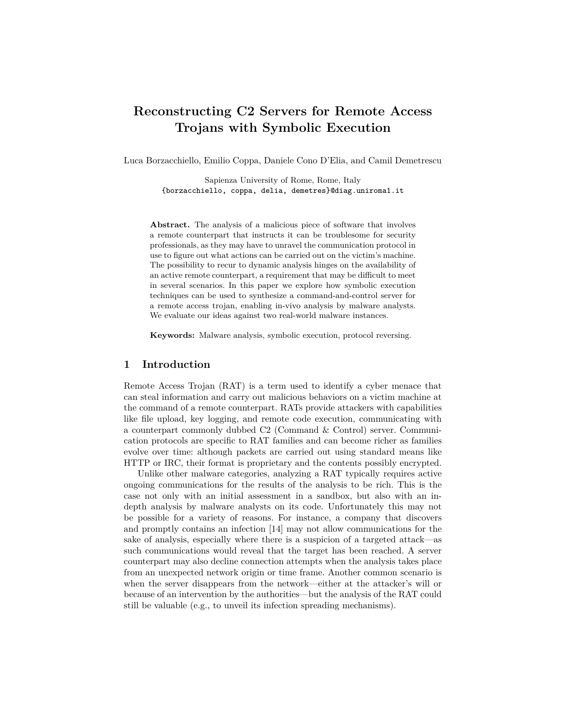# **Reconstructing C2 Servers for Remote Access Trojans with Symbolic Execution**

Luca Borzacchiello, Emilio Coppa, Daniele Cono D'Elia, and Camil Demetrescu

Sapienza University of Rome, Rome, Italy {borzacchiello, coppa, delia, demetres}@diag.uniroma1.it

**Abstract.** The analysis of a malicious piece of software that involves a remote counterpart that instructs it can be troublesome for security professionals, as they may have to unravel the communication protocol in use to figure out what actions can be carried out on the victim's machine. The possibility to recur to dynamic analysis hinges on the availability of an active remote counterpart, a requirement that may be difficult to meet in several scenarios. In this paper we explore how symbolic execution techniques can be used to synthesize a command-and-control server for a remote access trojan, enabling in-vivo analysis by malware analysts. We evaluate our ideas against two real-world malware instances.

**Keywords:** Malware analysis, symbolic execution, protocol reversing.

## **1 Introduction**

Remote Access Trojan (RAT) is a term used to identify a cyber menace that can steal information and carry out malicious behaviors on a victim machine at the command of a remote counterpart. RATs provide attackers with capabilities like file upload, key logging, and remote code execution, communicating with a counterpart commonly dubbed C2 (Command & Control) server. Communication protocols are specific to RAT families and can become richer as families evolve over time: although packets are carried out using standard means like HTTP or IRC, their format is proprietary and the contents possibly encrypted.

Unlike other malware categories, analyzing a RAT typically requires active ongoing communications for the results of the analysis to be rich. This is the case not only with an initial assessment in a sandbox, but also with an indepth analysis by malware analysts on its code. Unfortunately this may not be possible for a variety of reasons. For instance, a company that discovers and promptly contains an infection [14] may not allow communications for the sake of analysis, especially where there is a suspicion of a targeted attack—as such communications would reveal that the target has been reached. A server counterpart may also decline connection attempts when the analysis takes place from an unexpected network origin or time frame. Another common scenario is when the server disappears from the network—either at the attacker's will or because of an intervention by the authorities—but the analysis of the RAT could still be valuable (e.g., to unveil its infection spreading mechanisms).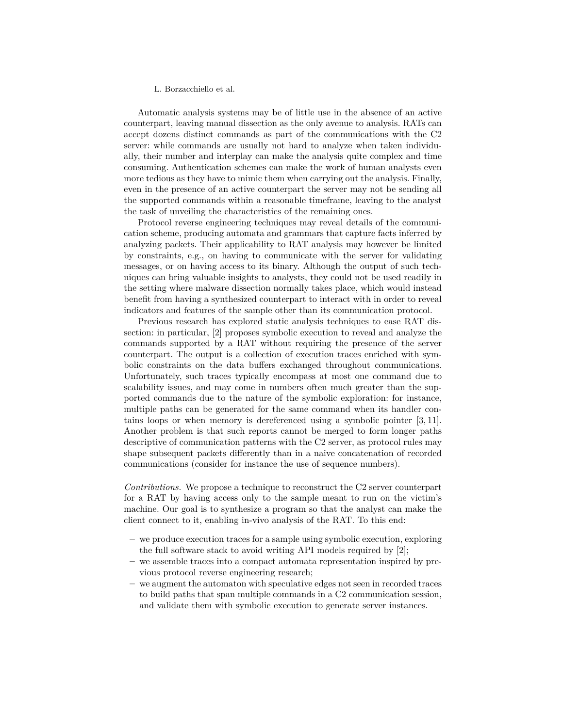Automatic analysis systems may be of little use in the absence of an active counterpart, leaving manual dissection as the only avenue to analysis. RATs can accept dozens distinct commands as part of the communications with the C2 server: while commands are usually not hard to analyze when taken individually, their number and interplay can make the analysis quite complex and time consuming. Authentication schemes can make the work of human analysts even more tedious as they have to mimic them when carrying out the analysis. Finally, even in the presence of an active counterpart the server may not be sending all the supported commands within a reasonable timeframe, leaving to the analyst the task of unveiling the characteristics of the remaining ones.

Protocol reverse engineering techniques may reveal details of the communication scheme, producing automata and grammars that capture facts inferred by analyzing packets. Their applicability to RAT analysis may however be limited by constraints, e.g., on having to communicate with the server for validating messages, or on having access to its binary. Although the output of such techniques can bring valuable insights to analysts, they could not be used readily in the setting where malware dissection normally takes place, which would instead benefit from having a synthesized counterpart to interact with in order to reveal indicators and features of the sample other than its communication protocol.

Previous research has explored static analysis techniques to ease RAT dissection: in particular, [2] proposes symbolic execution to reveal and analyze the commands supported by a RAT without requiring the presence of the server counterpart. The output is a collection of execution traces enriched with symbolic constraints on the data buffers exchanged throughout communications. Unfortunately, such traces typically encompass at most one command due to scalability issues, and may come in numbers often much greater than the supported commands due to the nature of the symbolic exploration: for instance, multiple paths can be generated for the same command when its handler contains loops or when memory is dereferenced using a symbolic pointer [3, 11]. Another problem is that such reports cannot be merged to form longer paths descriptive of communication patterns with the C2 server, as protocol rules may shape subsequent packets differently than in a naive concatenation of recorded communications (consider for instance the use of sequence numbers).

*Contributions.* We propose a technique to reconstruct the C2 server counterpart for a RAT by having access only to the sample meant to run on the victim's machine. Our goal is to synthesize a program so that the analyst can make the client connect to it, enabling in-vivo analysis of the RAT. To this end:

- **–** we produce execution traces for a sample using symbolic execution, exploring the full software stack to avoid writing API models required by [2];
- **–** we assemble traces into a compact automata representation inspired by previous protocol reverse engineering research;
- **–** we augment the automaton with speculative edges not seen in recorded traces to build paths that span multiple commands in a C2 communication session, and validate them with symbolic execution to generate server instances.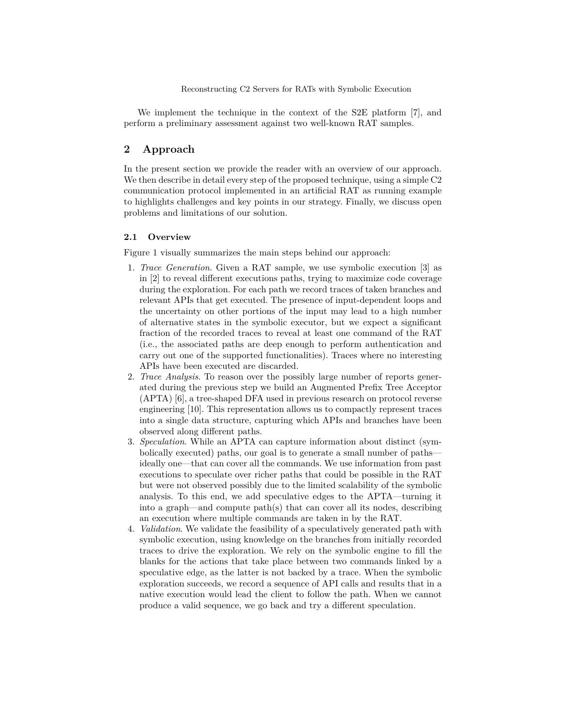We implement the technique in the context of the S2E platform [7], and perform a preliminary assessment against two well-known RAT samples.

# **2 Approach**

In the present section we provide the reader with an overview of our approach. We then describe in detail every step of the proposed technique, using a simple C2 communication protocol implemented in an artificial RAT as running example to highlights challenges and key points in our strategy. Finally, we discuss open problems and limitations of our solution.

## **2.1 Overview**

Figure 1 visually summarizes the main steps behind our approach:

- 1. *Trace Generation*. Given a RAT sample, we use symbolic execution [3] as in [2] to reveal different executions paths, trying to maximize code coverage during the exploration. For each path we record traces of taken branches and relevant APIs that get executed. The presence of input-dependent loops and the uncertainty on other portions of the input may lead to a high number of alternative states in the symbolic executor, but we expect a significant fraction of the recorded traces to reveal at least one command of the RAT (i.e., the associated paths are deep enough to perform authentication and carry out one of the supported functionalities). Traces where no interesting APIs have been executed are discarded.
- 2. *Trace Analysis*. To reason over the possibly large number of reports generated during the previous step we build an Augmented Prefix Tree Acceptor (APTA) [6], a tree-shaped DFA used in previous research on protocol reverse engineering [10]. This representation allows us to compactly represent traces into a single data structure, capturing which APIs and branches have been observed along different paths.
- 3. *Speculation*. While an APTA can capture information about distinct (symbolically executed) paths, our goal is to generate a small number of paths ideally one—that can cover all the commands. We use information from past executions to speculate over richer paths that could be possible in the RAT but were not observed possibly due to the limited scalability of the symbolic analysis. To this end, we add speculative edges to the APTA—turning it into a graph—and compute path(s) that can cover all its nodes, describing an execution where multiple commands are taken in by the RAT.
- 4. *Validation*. We validate the feasibility of a speculatively generated path with symbolic execution, using knowledge on the branches from initially recorded traces to drive the exploration. We rely on the symbolic engine to fill the blanks for the actions that take place between two commands linked by a speculative edge, as the latter is not backed by a trace. When the symbolic exploration succeeds, we record a sequence of API calls and results that in a native execution would lead the client to follow the path. When we cannot produce a valid sequence, we go back and try a different speculation.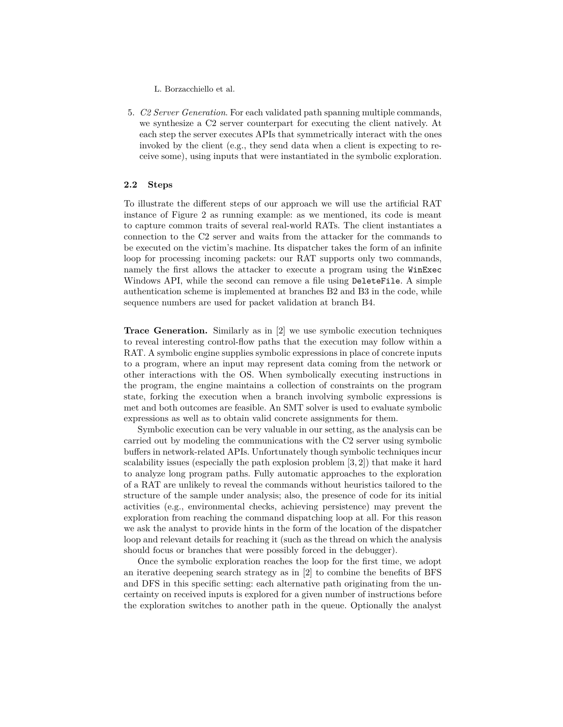5. *C2 Server Generation*. For each validated path spanning multiple commands, we synthesize a C2 server counterpart for executing the client natively. At each step the server executes APIs that symmetrically interact with the ones invoked by the client (e.g., they send data when a client is expecting to receive some), using inputs that were instantiated in the symbolic exploration.

## **2.2 Steps**

To illustrate the different steps of our approach we will use the artificial RAT instance of Figure 2 as running example: as we mentioned, its code is meant to capture common traits of several real-world RATs. The client instantiates a connection to the C2 server and waits from the attacker for the commands to be executed on the victim's machine. Its dispatcher takes the form of an infinite loop for processing incoming packets: our RAT supports only two commands, namely the first allows the attacker to execute a program using the WinExec Windows API, while the second can remove a file using DeleteFile. A simple authentication scheme is implemented at branches B2 and B3 in the code, while sequence numbers are used for packet validation at branch B4.

**Trace Generation.** Similarly as in [2] we use symbolic execution techniques to reveal interesting control-flow paths that the execution may follow within a RAT. A symbolic engine supplies symbolic expressions in place of concrete inputs to a program, where an input may represent data coming from the network or other interactions with the OS. When symbolically executing instructions in the program, the engine maintains a collection of constraints on the program state, forking the execution when a branch involving symbolic expressions is met and both outcomes are feasible. An SMT solver is used to evaluate symbolic expressions as well as to obtain valid concrete assignments for them.

Symbolic execution can be very valuable in our setting, as the analysis can be carried out by modeling the communications with the C2 server using symbolic buffers in network-related APIs. Unfortunately though symbolic techniques incur scalability issues (especially the path explosion problem [3, 2]) that make it hard to analyze long program paths. Fully automatic approaches to the exploration of a RAT are unlikely to reveal the commands without heuristics tailored to the structure of the sample under analysis; also, the presence of code for its initial activities (e.g., environmental checks, achieving persistence) may prevent the exploration from reaching the command dispatching loop at all. For this reason we ask the analyst to provide hints in the form of the location of the dispatcher loop and relevant details for reaching it (such as the thread on which the analysis should focus or branches that were possibly forced in the debugger).

Once the symbolic exploration reaches the loop for the first time, we adopt an iterative deepening search strategy as in [2] to combine the benefits of BFS and DFS in this specific setting: each alternative path originating from the uncertainty on received inputs is explored for a given number of instructions before the exploration switches to another path in the queue. Optionally the analyst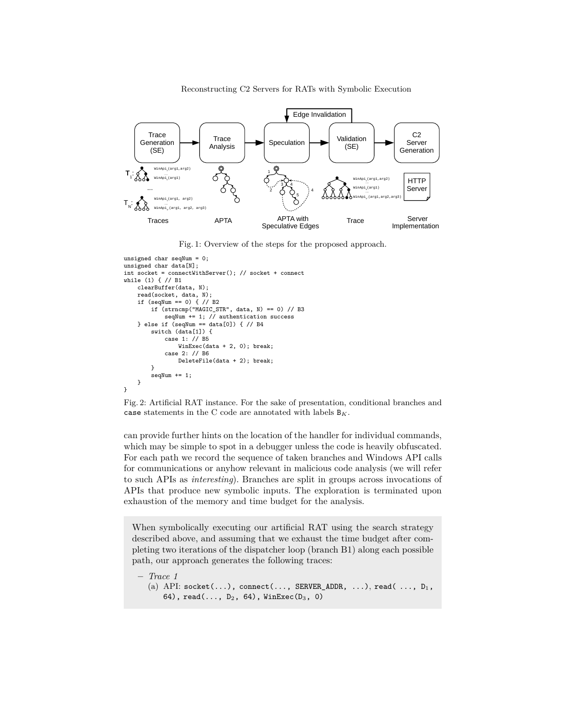

Fig. 1: Overview of the steps for the proposed approach.

```
unsigned char seqNum = 0;
unsigned char data[N];
int socket = connectWithServer(); // socket + connect
while (1) { // B1
   clearBuffer(data, N);
    read(socket, data, N);
   if (seqNum == 0) { // B2
        if (strncmp("MAGIC_STR", data, N) == 0) // B3
            seqNum += 1; // authentication success
   } else if (seqNum == data[0]) { // B4
        switch (data[1]) {
            case 1: // B5
                WinExec(data + 2, 0); break;
            case 2: // B6
                DeleteFile(data + 2); break;
        }
        seqNum += 1;
   }
}
```
Fig. 2: Artificial RAT instance. For the sake of presentation, conditional branches and case statements in the C code are annotated with labels B*K*.

can provide further hints on the location of the handler for individual commands, which may be simple to spot in a debugger unless the code is heavily obfuscated. For each path we record the sequence of taken branches and Windows API calls for communications or anyhow relevant in malicious code analysis (we will refer to such APIs as *interesting*). Branches are split in groups across invocations of APIs that produce new symbolic inputs. The exploration is terminated upon exhaustion of the memory and time budget for the analysis.

When symbolically executing our artificial RAT using the search strategy described above, and assuming that we exhaust the time budget after completing two iterations of the dispatcher loop (branch B1) along each possible path, our approach generates the following traces:

```
– Trace 1
   (a) API: socket(...), connect(..., SERVER_ADDR, ...), read( ..., D_1,
       64), read(..., D<sub>2</sub>, 64), WinExec(D<sub>3</sub>, 0)
```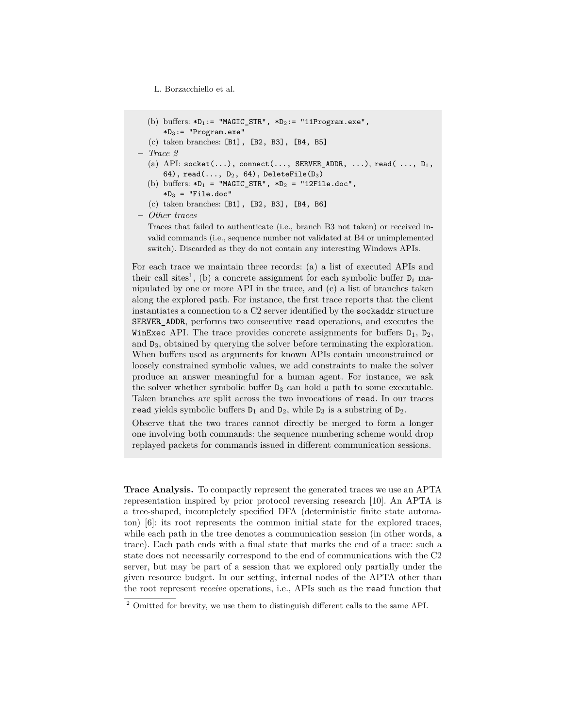- L. Borzacchiello et al.
- (b) buffers:  $*D_1$ := "MAGIC\_STR",  $*D_2$ := "11Program.exe",  $*D_3:$  = "Program.exe"
- (c) taken branches: [B1], [B2, B3], [B4, B5]
- **–** *Trace 2*
	- (a) API:  $\text{socket}(\ldots)$ ,  $\text{connect}(\ldots)$ ,  $\text{SERVER}$  ADDR,  $\ldots$ ),  $\text{read}(\ldots, D_1)$ , 64), read $(..., D_2, 64)$ , DeleteFile $(D_3)$
	- (b) buffers:  $*D_1$  = "MAGIC\_STR",  $*D_2$  = "12File.doc",  $*D_3$  = "File.doc"
	- (c) taken branches: [B1], [B2, B3], [B4, B6]

**–** *Other traces*

Traces that failed to authenticate (i.e., branch B3 not taken) or received invalid commands (i.e., sequence number not validated at B4 or unimplemented switch). Discarded as they do not contain any interesting Windows APIs.

For each trace we maintain three records: (a) a list of executed APIs and their call sites<sup>1</sup>, (b) a concrete assignment for each symbolic buffer  $D_i$  manipulated by one or more API in the trace, and (c) a list of branches taken along the explored path. For instance, the first trace reports that the client instantiates a connection to a C2 server identified by the sockaddr structure SERVER\_ADDR, performs two consecutive read operations, and executes the WinExec API. The trace provides concrete assignments for buffers  $D_1$ ,  $D_2$ , and D3, obtained by querying the solver before terminating the exploration. When buffers used as arguments for known APIs contain unconstrained or loosely constrained symbolic values, we add constraints to make the solver produce an answer meaningful for a human agent. For instance, we ask the solver whether symbolic buffer  $D_3$  can hold a path to some executable. Taken branches are split across the two invocations of read. In our traces read yields symbolic buffers  $D_1$  and  $D_2$ , while  $D_3$  is a substring of  $D_2$ .

Observe that the two traces cannot directly be merged to form a longer one involving both commands: the sequence numbering scheme would drop replayed packets for commands issued in different communication sessions.

**Trace Analysis.** To compactly represent the generated traces we use an APTA representation inspired by prior protocol reversing research [10]. An APTA is a tree-shaped, incompletely specified DFA (deterministic finite state automaton) [6]: its root represents the common initial state for the explored traces, while each path in the tree denotes a communication session (in other words, a trace). Each path ends with a final state that marks the end of a trace: such a state does not necessarily correspond to the end of communications with the C2 server, but may be part of a session that we explored only partially under the given resource budget. In our setting, internal nodes of the APTA other than the root represent *receive* operations, i.e., APIs such as the read function that

<sup>&</sup>lt;sup>2</sup> Omitted for brevity, we use them to distinguish different calls to the same API.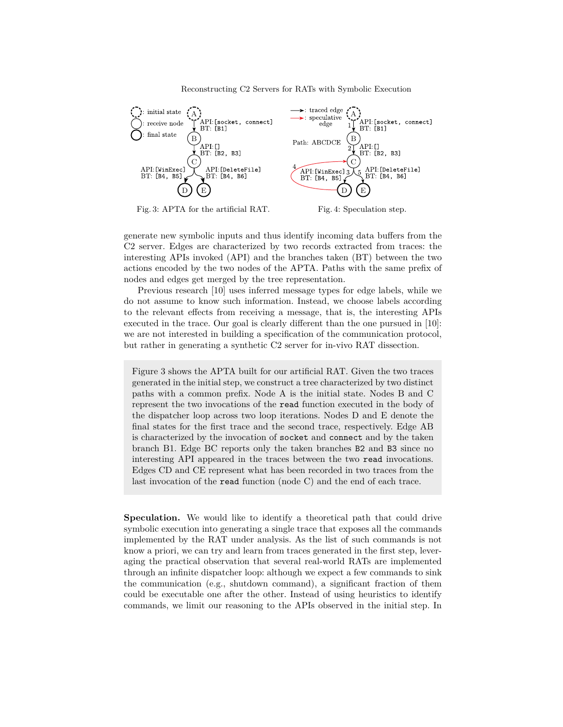

Fig. 3: APTA for the artificial RAT.



generate new symbolic inputs and thus identify incoming data buffers from the C2 server. Edges are characterized by two records extracted from traces: the interesting APIs invoked (API) and the branches taken (BT) between the two actions encoded by the two nodes of the APTA. Paths with the same prefix of nodes and edges get merged by the tree representation.

Previous research [10] uses inferred message types for edge labels, while we do not assume to know such information. Instead, we choose labels according to the relevant effects from receiving a message, that is, the interesting APIs executed in the trace. Our goal is clearly different than the one pursued in [10]: we are not interested in building a specification of the communication protocol, but rather in generating a synthetic C2 server for in-vivo RAT dissection.

Figure 3 shows the APTA built for our artificial RAT. Given the two traces generated in the initial step, we construct a tree characterized by two distinct paths with a common prefix. Node A is the initial state. Nodes B and C represent the two invocations of the read function executed in the body of the dispatcher loop across two loop iterations. Nodes D and E denote the final states for the first trace and the second trace, respectively. Edge AB is characterized by the invocation of socket and connect and by the taken branch B1. Edge BC reports only the taken branches B2 and B3 since no interesting API appeared in the traces between the two read invocations. Edges CD and CE represent what has been recorded in two traces from the last invocation of the read function (node C) and the end of each trace.

**Speculation.** We would like to identify a theoretical path that could drive symbolic execution into generating a single trace that exposes all the commands implemented by the RAT under analysis. As the list of such commands is not know a priori, we can try and learn from traces generated in the first step, leveraging the practical observation that several real-world RATs are implemented through an infinite dispatcher loop: although we expect a few commands to sink the communication (e.g., shutdown command), a significant fraction of them could be executable one after the other. Instead of using heuristics to identify commands, we limit our reasoning to the APIs observed in the initial step. In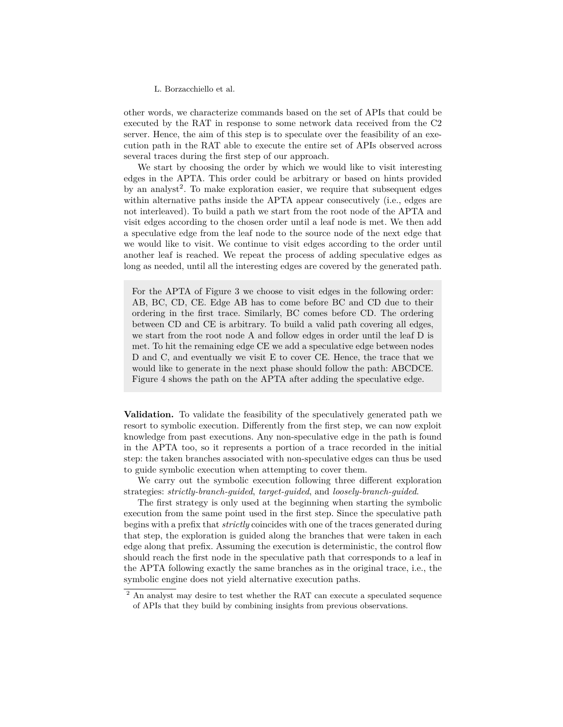other words, we characterize commands based on the set of APIs that could be executed by the RAT in response to some network data received from the C2 server. Hence, the aim of this step is to speculate over the feasibility of an execution path in the RAT able to execute the entire set of APIs observed across several traces during the first step of our approach.

We start by choosing the order by which we would like to visit interesting edges in the APTA. This order could be arbitrary or based on hints provided by an analyst<sup>2</sup>. To make exploration easier, we require that subsequent edges within alternative paths inside the APTA appear consecutively (i.e., edges are not interleaved). To build a path we start from the root node of the APTA and visit edges according to the chosen order until a leaf node is met. We then add a speculative edge from the leaf node to the source node of the next edge that we would like to visit. We continue to visit edges according to the order until another leaf is reached. We repeat the process of adding speculative edges as long as needed, until all the interesting edges are covered by the generated path.

For the APTA of Figure 3 we choose to visit edges in the following order: AB, BC, CD, CE. Edge AB has to come before BC and CD due to their ordering in the first trace. Similarly, BC comes before CD. The ordering between CD and CE is arbitrary. To build a valid path covering all edges, we start from the root node A and follow edges in order until the leaf D is met. To hit the remaining edge CE we add a speculative edge between nodes D and C, and eventually we visit E to cover CE. Hence, the trace that we would like to generate in the next phase should follow the path: ABCDCE. Figure 4 shows the path on the APTA after adding the speculative edge.

**Validation.** To validate the feasibility of the speculatively generated path we resort to symbolic execution. Differently from the first step, we can now exploit knowledge from past executions. Any non-speculative edge in the path is found in the APTA too, so it represents a portion of a trace recorded in the initial step: the taken branches associated with non-speculative edges can thus be used to guide symbolic execution when attempting to cover them.

We carry out the symbolic execution following three different exploration strategies: *strictly-branch-guided*, *target-guided*, and *loosely-branch-guided*.

The first strategy is only used at the beginning when starting the symbolic execution from the same point used in the first step. Since the speculative path begins with a prefix that *strictly* coincides with one of the traces generated during that step, the exploration is guided along the branches that were taken in each edge along that prefix. Assuming the execution is deterministic, the control flow should reach the first node in the speculative path that corresponds to a leaf in the APTA following exactly the same branches as in the original trace, i.e., the symbolic engine does not yield alternative execution paths.

<sup>&</sup>lt;sup>2</sup> An analyst may desire to test whether the RAT can execute a speculated sequence of APIs that they build by combining insights from previous observations.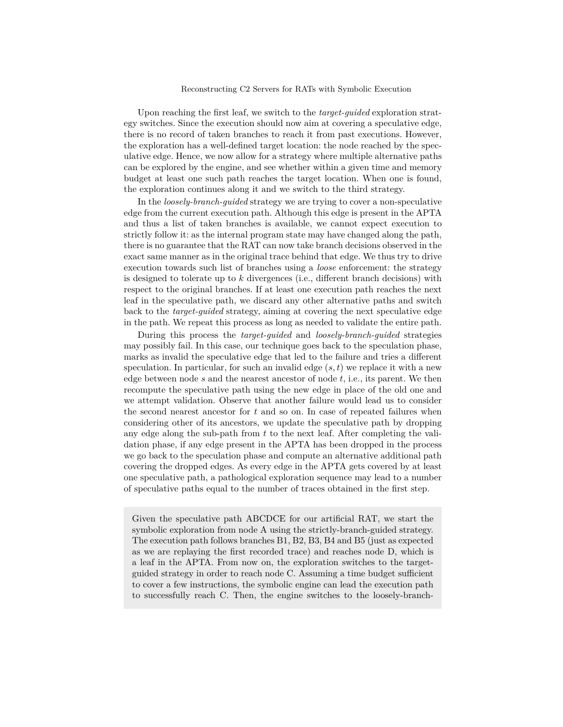Upon reaching the first leaf, we switch to the *target-guided* exploration strategy switches. Since the execution should now aim at covering a speculative edge, there is no record of taken branches to reach it from past executions. However, the exploration has a well-defined target location: the node reached by the speculative edge. Hence, we now allow for a strategy where multiple alternative paths can be explored by the engine, and see whether within a given time and memory budget at least one such path reaches the target location. When one is found, the exploration continues along it and we switch to the third strategy.

In the *loosely-branch-guided* strategy we are trying to cover a non-speculative edge from the current execution path. Although this edge is present in the APTA and thus a list of taken branches is available, we cannot expect execution to strictly follow it: as the internal program state may have changed along the path, there is no guarantee that the RAT can now take branch decisions observed in the exact same manner as in the original trace behind that edge. We thus try to drive execution towards such list of branches using a *loose* enforcement: the strategy is designed to tolerate up to *k* divergences (i.e., different branch decisions) with respect to the original branches. If at least one execution path reaches the next leaf in the speculative path, we discard any other alternative paths and switch back to the *target-guided* strategy, aiming at covering the next speculative edge in the path. We repeat this process as long as needed to validate the entire path.

During this process the *target-guided* and *loosely-branch-guided* strategies may possibly fail. In this case, our technique goes back to the speculation phase, marks as invalid the speculative edge that led to the failure and tries a different speculation. In particular, for such an invalid edge (*s, t*) we replace it with a new edge between node *s* and the nearest ancestor of node *t*, i.e., its parent. We then recompute the speculative path using the new edge in place of the old one and we attempt validation. Observe that another failure would lead us to consider the second nearest ancestor for *t* and so on. In case of repeated failures when considering other of its ancestors, we update the speculative path by dropping any edge along the sub-path from *t* to the next leaf. After completing the validation phase, if any edge present in the APTA has been dropped in the process we go back to the speculation phase and compute an alternative additional path covering the dropped edges. As every edge in the APTA gets covered by at least one speculative path, a pathological exploration sequence may lead to a number of speculative paths equal to the number of traces obtained in the first step.

Given the speculative path ABCDCE for our artificial RAT, we start the symbolic exploration from node A using the strictly-branch-guided strategy. The execution path follows branches B1, B2, B3, B4 and B5 (just as expected as we are replaying the first recorded trace) and reaches node D, which is a leaf in the APTA. From now on, the exploration switches to the targetguided strategy in order to reach node C. Assuming a time budget sufficient to cover a few instructions, the symbolic engine can lead the execution path to successfully reach C. Then, the engine switches to the loosely-branch-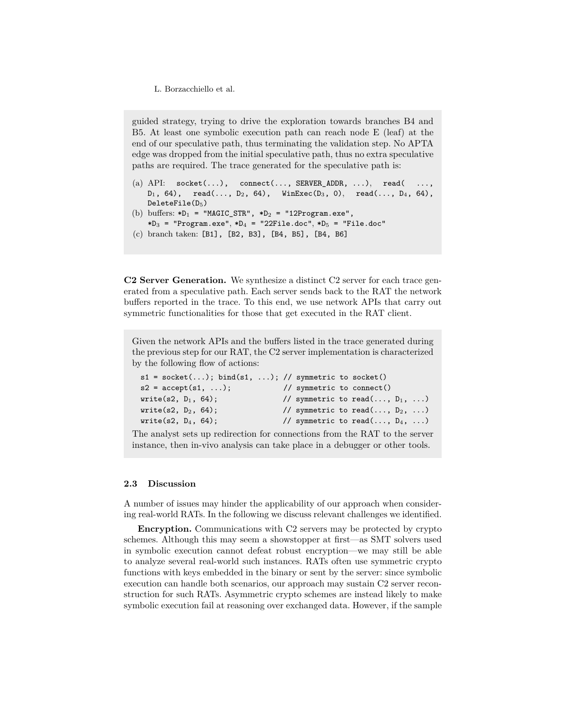guided strategy, trying to drive the exploration towards branches B4 and B5. At least one symbolic execution path can reach node E (leaf) at the end of our speculative path, thus terminating the validation step. No APTA edge was dropped from the initial speculative path, thus no extra speculative paths are required. The trace generated for the speculative path is:

- (a)  $API:$  socket(...), connect(..., SERVER\_ADDR, ...), read(  $D_1$ , 64), read(...,  $D_2$ , 64), WinExec( $D_3$ , 0), read(...,  $D_4$ , 64),  $D$ elete $F$ ile $(D_5)$
- (b) buffers:  $*D_1$  = "MAGIC\_STR",  $*D_2$  = "12Program.exe", \*D<sub>3</sub> = "Program.exe", \*D<sub>4</sub> = "22File.doc", \*D<sub>5</sub> = "File.doc"
- (c) branch taken: [B1], [B2, B3], [B4, B5], [B4, B6]

**C2 Server Generation.** We synthesize a distinct C2 server for each trace generated from a speculative path. Each server sends back to the RAT the network buffers reported in the trace. To this end, we use network APIs that carry out symmetric functionalities for those that get executed in the RAT client.

Given the network APIs and the buffers listed in the trace generated during the previous step for our RAT, the C2 server implementation is characterized by the following flow of actions:

```
s1 = socket(...); bind(s1, ...); \frac{1}{s} symmetric to socket()
s2 = accept(s1, ...); // symmetric to connect()
write(s2, D_1, 64); // symmetric to read(..., D_1, ...)
write(s2, D_2, 64); // symmetric to read(..., D_2, ...)
write(s2, D_4, 64); // symmetric to read(..., D_4, ...)
```
The analyst sets up redirection for connections from the RAT to the server instance, then in-vivo analysis can take place in a debugger or other tools.

#### **2.3 Discussion**

A number of issues may hinder the applicability of our approach when considering real-world RATs. In the following we discuss relevant challenges we identified.

**Encryption.** Communications with C2 servers may be protected by crypto schemes. Although this may seem a showstopper at first—as SMT solvers used in symbolic execution cannot defeat robust encryption—we may still be able to analyze several real-world such instances. RATs often use symmetric crypto functions with keys embedded in the binary or sent by the server: since symbolic execution can handle both scenarios, our approach may sustain C2 server reconstruction for such RATs. Asymmetric crypto schemes are instead likely to make symbolic execution fail at reasoning over exchanged data. However, if the sample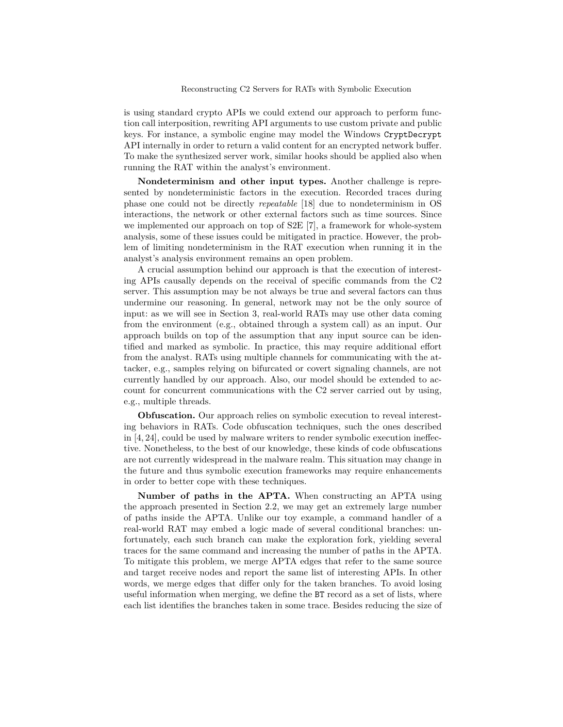is using standard crypto APIs we could extend our approach to perform function call interposition, rewriting API arguments to use custom private and public keys. For instance, a symbolic engine may model the Windows CryptDecrypt API internally in order to return a valid content for an encrypted network buffer. To make the synthesized server work, similar hooks should be applied also when running the RAT within the analyst's environment.

**Nondeterminism and other input types.** Another challenge is represented by nondeterministic factors in the execution. Recorded traces during phase one could not be directly *repeatable* [18] due to nondeterminism in OS interactions, the network or other external factors such as time sources. Since we implemented our approach on top of S2E [7], a framework for whole-system analysis, some of these issues could be mitigated in practice. However, the problem of limiting nondeterminism in the RAT execution when running it in the analyst's analysis environment remains an open problem.

A crucial assumption behind our approach is that the execution of interesting APIs causally depends on the receival of specific commands from the C2 server. This assumption may be not always be true and several factors can thus undermine our reasoning. In general, network may not be the only source of input: as we will see in Section 3, real-world RATs may use other data coming from the environment (e.g., obtained through a system call) as an input. Our approach builds on top of the assumption that any input source can be identified and marked as symbolic. In practice, this may require additional effort from the analyst. RATs using multiple channels for communicating with the attacker, e.g., samples relying on bifurcated or covert signaling channels, are not currently handled by our approach. Also, our model should be extended to account for concurrent communications with the C2 server carried out by using, e.g., multiple threads.

**Obfuscation.** Our approach relies on symbolic execution to reveal interesting behaviors in RATs. Code obfuscation techniques, such the ones described in [4, 24], could be used by malware writers to render symbolic execution ineffective. Nonetheless, to the best of our knowledge, these kinds of code obfuscations are not currently widespread in the malware realm. This situation may change in the future and thus symbolic execution frameworks may require enhancements in order to better cope with these techniques.

**Number of paths in the APTA.** When constructing an APTA using the approach presented in Section 2.2, we may get an extremely large number of paths inside the APTA. Unlike our toy example, a command handler of a real-world RAT may embed a logic made of several conditional branches: unfortunately, each such branch can make the exploration fork, yielding several traces for the same command and increasing the number of paths in the APTA. To mitigate this problem, we merge APTA edges that refer to the same source and target receive nodes and report the same list of interesting APIs. In other words, we merge edges that differ only for the taken branches. To avoid losing useful information when merging, we define the BT record as a set of lists, where each list identifies the branches taken in some trace. Besides reducing the size of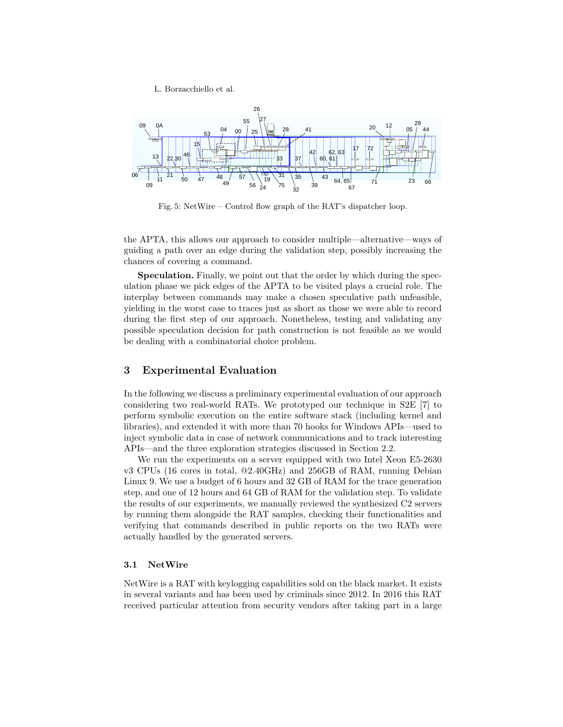

Fig. 5: NetWire – Control flow graph of the RAT's dispatcher loop.

the APTA, this allows our approach to consider multiple—alternative—ways of guiding a path over an edge during the validation step, possibly increasing the chances of covering a command.

**Speculation.** Finally, we point out that the order by which during the speculation phase we pick edges of the APTA to be visited plays a crucial role. The interplay between commands may make a chosen speculative path unfeasible, yielding in the worst case to traces just as short as those we were able to record during the first step of our approach. Nonetheless, testing and validating any possible speculation decision for path construction is not feasible as we would be dealing with a combinatorial choice problem.

# **3 Experimental Evaluation**

In the following we discuss a preliminary experimental evaluation of our approach considering two real-world RATs. We prototyped our technique in S2E [7] to perform symbolic execution on the entire software stack (including kernel and libraries), and extended it with more than 70 hooks for Windows APIs—used to inject symbolic data in case of network communications and to track interesting APIs—and the three exploration strategies discussed in Section 2.2.

We run the experiments on a server equipped with two Intel Xeon E5-2630 v3 CPUs (16 cores in total, @2.40GHz) and 256GB of RAM, running Debian Linux 9. We use a budget of 6 hours and 32 GB of RAM for the trace generation step, and one of 12 hours and 64 GB of RAM for the validation step. To validate the results of our experiments, we manually reviewed the synthesized C2 servers by running them alongside the RAT samples, checking their functionalities and verifying that commands described in public reports on the two RATs were actually handled by the generated servers.

## **3.1 NetWire**

NetWire is a RAT with keylogging capabilities sold on the black market. It exists in several variants and has been used by criminals since 2012. In 2016 this RAT received particular attention from security vendors after taking part in a large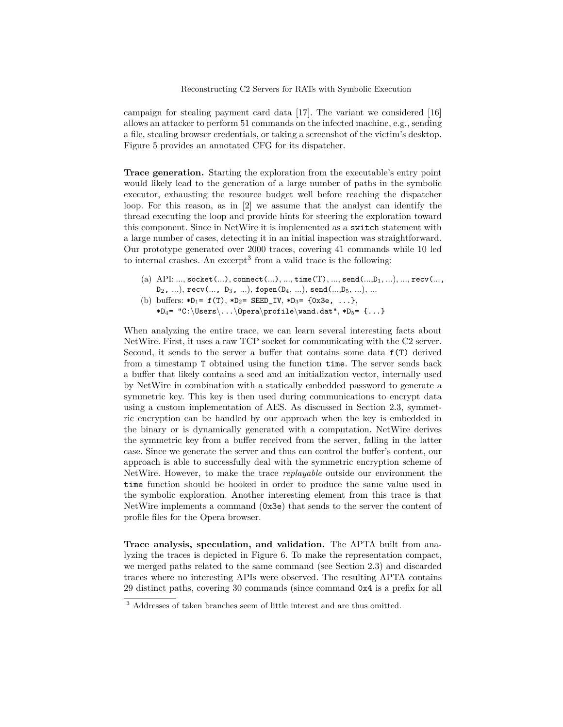campaign for stealing payment card data [17]. The variant we considered [16] allows an attacker to perform 51 commands on the infected machine, e.g., sending a file, stealing browser credentials, or taking a screenshot of the victim's desktop. Figure 5 provides an annotated CFG for its dispatcher.

**Trace generation.** Starting the exploration from the executable's entry point would likely lead to the generation of a large number of paths in the symbolic executor, exhausting the resource budget well before reaching the dispatcher loop. For this reason, as in [2] we assume that the analyst can identify the thread executing the loop and provide hints for steering the exploration toward this component. Since in NetWire it is implemented as a switch statement with a large number of cases, detecting it in an initial inspection was straightforward. Our prototype generated over 2000 traces, covering 41 commands while 10 led to internal crashes. An excerpt<sup>3</sup> from a valid trace is the following:

- (a) API: ...,  $\texttt{socket}(\ldots)$ ,  $\texttt{connect}(\ldots)$ , ...,  $\texttt{time}(T)$ , ...,  $\texttt{send}(\ldots, D_1, \ldots)$ , ...,  $\texttt{recv}(\ldots$ ,  $D_2$ , ...),  $recv$  (...,  $D_3$ , ...), fopen( $D_4$ , ...), send(..., $D_5$ , ...), ...
- (b) buffers: \*D<sub>1</sub>= f(T), \*D<sub>2</sub>= SEED\_IV, \*D<sub>3</sub>= {0x3e, ...},  $*D_4$ = "C:\Users\...\Opera\profile\wand.dat", \*D<sub>5</sub>= {...}

When analyzing the entire trace, we can learn several interesting facts about NetWire. First, it uses a raw TCP socket for communicating with the C2 server. Second, it sends to the server a buffer that contains some data f(T) derived from a timestamp T obtained using the function time. The server sends back a buffer that likely contains a seed and an initialization vector, internally used by NetWire in combination with a statically embedded password to generate a symmetric key. This key is then used during communications to encrypt data using a custom implementation of AES. As discussed in Section 2.3, symmetric encryption can be handled by our approach when the key is embedded in the binary or is dynamically generated with a computation. NetWire derives the symmetric key from a buffer received from the server, falling in the latter case. Since we generate the server and thus can control the buffer's content, our approach is able to successfully deal with the symmetric encryption scheme of NetWire. However, to make the trace *replayable* outside our environment the time function should be hooked in order to produce the same value used in the symbolic exploration. Another interesting element from this trace is that NetWire implements a command (0x3e) that sends to the server the content of profile files for the Opera browser.

**Trace analysis, speculation, and validation.** The APTA built from analyzing the traces is depicted in Figure 6. To make the representation compact, we merged paths related to the same command (see Section 2.3) and discarded traces where no interesting APIs were observed. The resulting APTA contains 29 distinct paths, covering 30 commands (since command 0x4 is a prefix for all

<sup>3</sup> Addresses of taken branches seem of little interest and are thus omitted.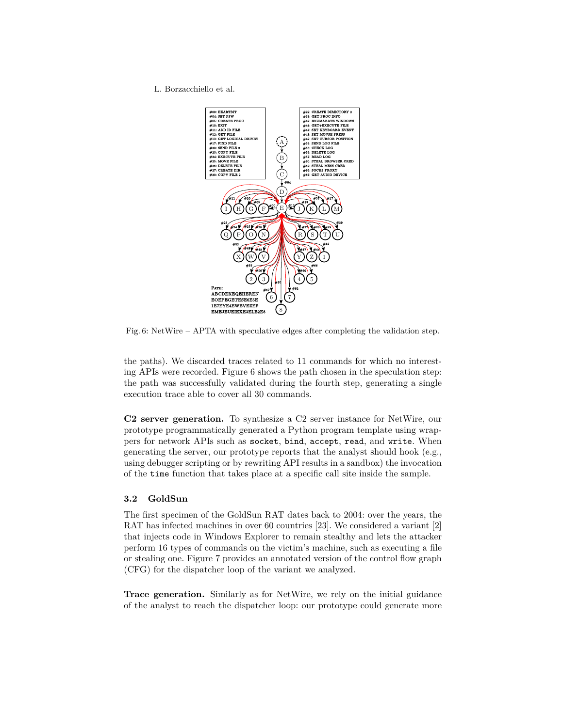

Fig. 6: NetWire – APTA with speculative edges after completing the validation step.

the paths). We discarded traces related to 11 commands for which no interesting APIs were recorded. Figure 6 shows the path chosen in the speculation step: the path was successfully validated during the fourth step, generating a single execution trace able to cover all 30 commands.

**C2 server generation.** To synthesize a C2 server instance for NetWire, our prototype programmatically generated a Python program template using wrappers for network APIs such as socket, bind, accept, read, and write. When generating the server, our prototype reports that the analyst should hook (e.g., using debugger scripting or by rewriting API results in a sandbox) the invocation of the time function that takes place at a specific call site inside the sample.

## **3.2 GoldSun**

The first specimen of the GoldSun RAT dates back to 2004: over the years, the RAT has infected machines in over 60 countries [23]. We considered a variant [2] that injects code in Windows Explorer to remain stealthy and lets the attacker perform 16 types of commands on the victim's machine, such as executing a file or stealing one. Figure 7 provides an annotated version of the control flow graph (CFG) for the dispatcher loop of the variant we analyzed.

**Trace generation.** Similarly as for NetWire, we rely on the initial guidance of the analyst to reach the dispatcher loop: our prototype could generate more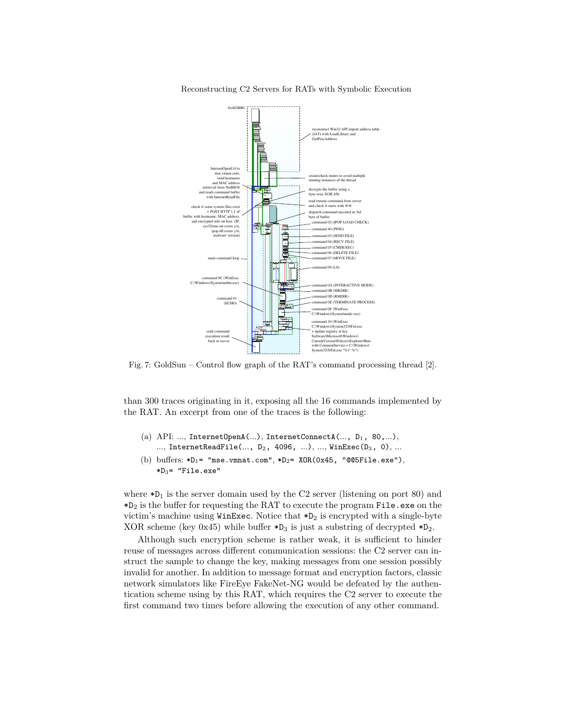

Fig. 7: GoldSun – Control flow graph of the RAT's command processing thread [2].

than 300 traces originating in it, exposing all the 16 commands implemented by the RAT. An excerpt from one of the traces is the following:

- (a) API: ..., InternetOpenA(...), InternetConnectA(...,  $D_1$ , 80,...), ..., InternetReadFile(...,  $D_2$ , 4096, ...), ..., WinExec( $D_3$ , 0), ...
- (b) buffers:  $*D_1$ = "mse.vmnat.com",  $*D_2$ = XOR(0x45, "@@5File.exe"),  $*D_3$ = "File.exe"

where  $D_1$  is the server domain used by the C2 server (listening on port 80) and  $*D<sub>2</sub>$  is the buffer for requesting the RAT to execute the program File.exe on the victim's machine using WinExec. Notice that  $D_2$  is encrypted with a single-byte XOR scheme (key 0x45) while buffer  $D_3$  is just a substring of decrypted  $D_2$ .

Although such encryption scheme is rather weak, it is sufficient to hinder reuse of messages across different communication sessions: the C2 server can instruct the sample to change the key, making messages from one session possibly invalid for another. In addition to message format and encryption factors, classic network simulators like FireEye FakeNet-NG would be defeated by the authentication scheme using by this RAT, which requires the C2 server to execute the first command two times before allowing the execution of any other command.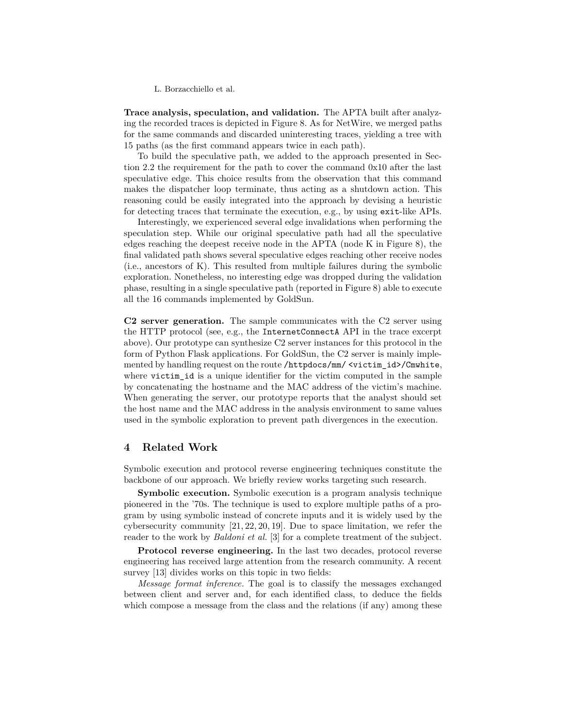**Trace analysis, speculation, and validation.** The APTA built after analyzing the recorded traces is depicted in Figure 8. As for NetWire, we merged paths for the same commands and discarded uninteresting traces, yielding a tree with 15 paths (as the first command appears twice in each path).

To build the speculative path, we added to the approach presented in Section 2.2 the requirement for the path to cover the command 0x10 after the last speculative edge. This choice results from the observation that this command makes the dispatcher loop terminate, thus acting as a shutdown action. This reasoning could be easily integrated into the approach by devising a heuristic for detecting traces that terminate the execution, e.g., by using exit-like APIs.

Interestingly, we experienced several edge invalidations when performing the speculation step. While our original speculative path had all the speculative edges reaching the deepest receive node in the APTA (node K in Figure 8), the final validated path shows several speculative edges reaching other receive nodes (i.e., ancestors of K). This resulted from multiple failures during the symbolic exploration. Nonetheless, no interesting edge was dropped during the validation phase, resulting in a single speculative path (reported in Figure 8) able to execute all the 16 commands implemented by GoldSun.

**C2 server generation.** The sample communicates with the C2 server using the HTTP protocol (see, e.g., the InternetConnectA API in the trace excerpt above). Our prototype can synthesize C2 server instances for this protocol in the form of Python Flask applications. For GoldSun, the C2 server is mainly implemented by handling request on the route /httpdocs/mm/ <victim\_id>/Cmwhite, where victim id is a unique identifier for the victim computed in the sample by concatenating the hostname and the MAC address of the victim's machine. When generating the server, our prototype reports that the analyst should set the host name and the MAC address in the analysis environment to same values used in the symbolic exploration to prevent path divergences in the execution.

## **4 Related Work**

Symbolic execution and protocol reverse engineering techniques constitute the backbone of our approach. We briefly review works targeting such research.

**Symbolic execution.** Symbolic execution is a program analysis technique pioneered in the '70s. The technique is used to explore multiple paths of a program by using symbolic instead of concrete inputs and it is widely used by the cybersecurity community [21, 22, 20, 19]. Due to space limitation, we refer the reader to the work by *Baldoni et al.* [3] for a complete treatment of the subject.

**Protocol reverse engineering.** In the last two decades, protocol reverse engineering has received large attention from the research community. A recent survey [13] divides works on this topic in two fields:

*Message format inference.* The goal is to classify the messages exchanged between client and server and, for each identified class, to deduce the fields which compose a message from the class and the relations (if any) among these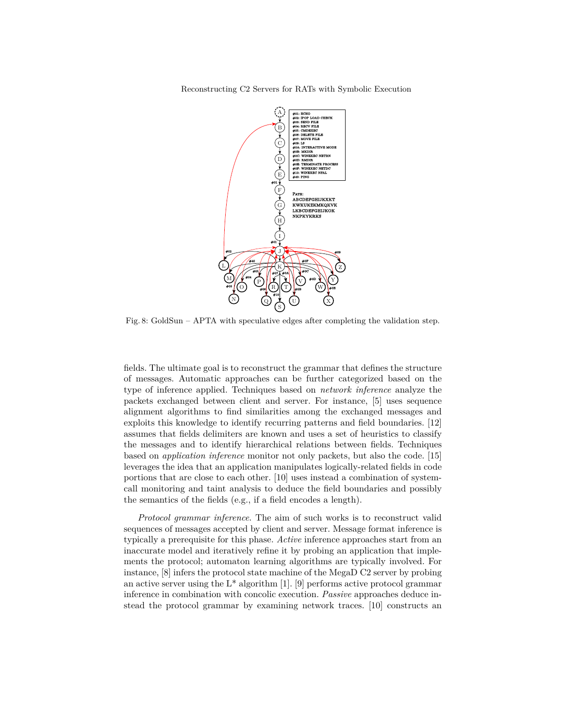

Fig. 8: GoldSun – APTA with speculative edges after completing the validation step.

fields. The ultimate goal is to reconstruct the grammar that defines the structure of messages. Automatic approaches can be further categorized based on the type of inference applied. Techniques based on *network inference* analyze the packets exchanged between client and server. For instance, [5] uses sequence alignment algorithms to find similarities among the exchanged messages and exploits this knowledge to identify recurring patterns and field boundaries. [12] assumes that fields delimiters are known and uses a set of heuristics to classify the messages and to identify hierarchical relations between fields. Techniques based on *application inference* monitor not only packets, but also the code. [15] leverages the idea that an application manipulates logically-related fields in code portions that are close to each other. [10] uses instead a combination of systemcall monitoring and taint analysis to deduce the field boundaries and possibly the semantics of the fields (e.g., if a field encodes a length).

*Protocol grammar inference*. The aim of such works is to reconstruct valid sequences of messages accepted by client and server. Message format inference is typically a prerequisite for this phase. *Active* inference approaches start from an inaccurate model and iteratively refine it by probing an application that implements the protocol; automaton learning algorithms are typically involved. For instance, [8] infers the protocol state machine of the MegaD C2 server by probing an active server using the  $L^*$  algorithm [1]. [9] performs active protocol grammar inference in combination with concolic execution. *Passive* approaches deduce instead the protocol grammar by examining network traces. [10] constructs an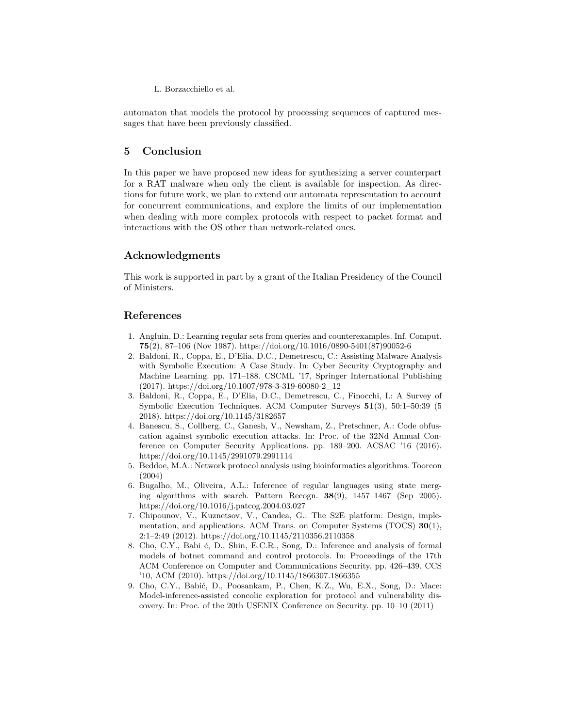automaton that models the protocol by processing sequences of captured messages that have been previously classified.

# **5 Conclusion**

In this paper we have proposed new ideas for synthesizing a server counterpart for a RAT malware when only the client is available for inspection. As directions for future work, we plan to extend our automata representation to account for concurrent communications, and explore the limits of our implementation when dealing with more complex protocols with respect to packet format and interactions with the OS other than network-related ones.

# **Acknowledgments**

This work is supported in part by a grant of the Italian Presidency of the Council of Ministers.

# **References**

- 1. Angluin, D.: Learning regular sets from queries and counterexamples. Inf. Comput. **75**(2), 87–106 (Nov 1987). https://doi.org/10.1016/0890-5401(87)90052-6
- 2. Baldoni, R., Coppa, E., D'Elia, D.C., Demetrescu, C.: Assisting Malware Analysis with Symbolic Execution: A Case Study. In: Cyber Security Cryptography and Machine Learning. pp. 171–188. CSCML '17, Springer International Publishing (2017). https://doi.org/10.1007/978-3-319-60080-2\_12
- 3. Baldoni, R., Coppa, E., D'Elia, D.C., Demetrescu, C., Finocchi, I.: A Survey of Symbolic Execution Techniques. ACM Computer Surveys **51**(3), 50:1–50:39 (5 2018). https://doi.org/10.1145/3182657
- 4. Banescu, S., Collberg, C., Ganesh, V., Newsham, Z., Pretschner, A.: Code obfuscation against symbolic execution attacks. In: Proc. of the 32Nd Annual Conference on Computer Security Applications. pp. 189–200. ACSAC '16 (2016). https://doi.org/10.1145/2991079.2991114
- 5. Beddoe, M.A.: Network protocol analysis using bioinformatics algorithms. Toorcon (2004)
- 6. Bugalho, M., Oliveira, A.L.: Inference of regular languages using state merging algorithms with search. Pattern Recogn. **38**(9), 1457–1467 (Sep 2005). https://doi.org/10.1016/j.patcog.2004.03.027
- 7. Chipounov, V., Kuznetsov, V., Candea, G.: The S2E platform: Design, implementation, and applications. ACM Trans. on Computer Systems (TOCS) **30**(1), 2:1–2:49 (2012). https://doi.org/10.1145/2110356.2110358
- 8. Cho, C.Y., Babi ć, D., Shin, E.C.R., Song, D.: Inference and analysis of formal models of botnet command and control protocols. In: Proceedings of the 17th ACM Conference on Computer and Communications Security. pp. 426–439. CCS '10, ACM (2010). https://doi.org/10.1145/1866307.1866355
- 9. Cho, C.Y., Babić, D., Poosankam, P., Chen, K.Z., Wu, E.X., Song, D.: Mace: Model-inference-assisted concolic exploration for protocol and vulnerability discovery. In: Proc. of the 20th USENIX Conference on Security. pp. 10–10 (2011)